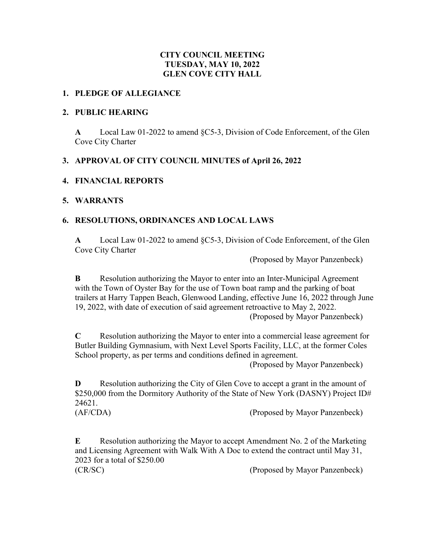## **CITY COUNCIL MEETING TUESDAY, MAY 10, 2022 GLEN COVE CITY HALL**

#### **1. PLEDGE OF ALLEGIANCE**

#### **2. PUBLIC HEARING**

**A** Local Law 01-2022 to amend §C5-3, Division of Code Enforcement, of the Glen Cove City Charter

## **3. APPROVAL OF CITY COUNCIL MINUTES of April 26, 2022**

## **4. FINANCIAL REPORTS**

## **5. WARRANTS**

## **6. RESOLUTIONS, ORDINANCES AND LOCAL LAWS**

**A** Local Law 01-2022 to amend §C5-3, Division of Code Enforcement, of the Glen Cove City Charter

(Proposed by Mayor Panzenbeck)

**B** Resolution authorizing the Mayor to enter into an Inter-Municipal Agreement with the Town of Oyster Bay for the use of Town boat ramp and the parking of boat trailers at Harry Tappen Beach, Glenwood Landing, effective June 16, 2022 through June 19, 2022, with date of execution of said agreement retroactive to May 2, 2022. (Proposed by Mayor Panzenbeck)

**C** Resolution authorizing the Mayor to enter into a commercial lease agreement for Butler Building Gymnasium, with Next Level Sports Facility, LLC, at the former Coles School property, as per terms and conditions defined in agreement.

(Proposed by Mayor Panzenbeck)

**D** Resolution authorizing the City of Glen Cove to accept a grant in the amount of \$250,000 from the Dormitory Authority of the State of New York (DASNY) Project ID# 24621.

(AF/CDA) (Proposed by Mayor Panzenbeck)

**E** Resolution authorizing the Mayor to accept Amendment No. 2 of the Marketing and Licensing Agreement with Walk With A Doc to extend the contract until May 31, 2023 for a total of \$250.00 (CR/SC) (Proposed by Mayor Panzenbeck)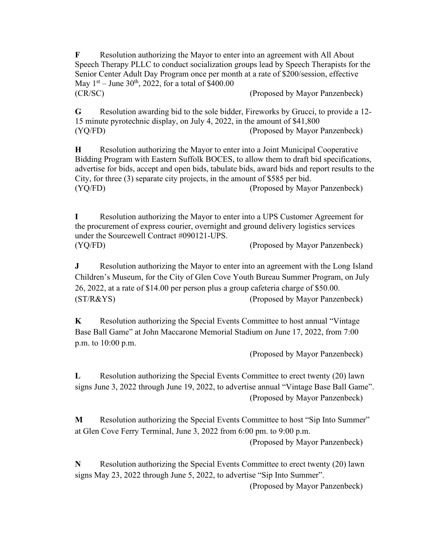**F** Resolution authorizing the Mayor to enter into an agreement with All About Speech Therapy PLLC to conduct socialization groups lead by Speech Therapists for the Senior Center Adult Day Program once per month at a rate of \$200/session, effective May  $1^{st}$  – June 30<sup>th</sup>, 2022, for a total of \$400.00 (CR/SC) (Proposed by Mayor Panzenbeck)

**G** Resolution awarding bid to the sole bidder, Fireworks by Grucci, to provide a 12- 15 minute pyrotechnic display, on July 4, 2022, in the amount of \$41,800 (YQ/FD) (Proposed by Mayor Panzenbeck)

**H** Resolution authorizing the Mayor to enter into a Joint Municipal Cooperative Bidding Program with Eastern Suffolk BOCES, to allow them to draft bid specifications, advertise for bids, accept and open bids, tabulate bids, award bids and report results to the City, for three (3) separate city projects, in the amount of \$585 per bid. (YQ/FD) (Proposed by Mayor Panzenbeck)

**I** Resolution authorizing the Mayor to enter into a UPS Customer Agreement for the procurement of express courier, overnight and ground delivery logistics services under the Sourcewell Contract #090121-UPS. (YQ/FD) (Proposed by Mayor Panzenbeck)

**J** Resolution authorizing the Mayor to enter into an agreement with the Long Island Children's Museum, for the City of Glen Cove Youth Bureau Summer Program, on July 26, 2022, at a rate of \$14.00 per person plus a group cafeteria charge of \$50.00. (ST/R&YS) (Proposed by Mayor Panzenbeck)

**K** Resolution authorizing the Special Events Committee to host annual "Vintage" Base Ball Game" at John Maccarone Memorial Stadium on June 17, 2022, from 7:00 p.m. to 10:00 p.m.

(Proposed by Mayor Panzenbeck)

**L** Resolution authorizing the Special Events Committee to erect twenty (20) lawn signs June 3, 2022 through June 19, 2022, to advertise annual "Vintage Base Ball Game". (Proposed by Mayor Panzenbeck)

**M** Resolution authorizing the Special Events Committee to host "Sip Into Summer" at Glen Cove Ferry Terminal, June 3, 2022 from 6:00 pm. to 9:00 p.m.

(Proposed by Mayor Panzenbeck)

**N** Resolution authorizing the Special Events Committee to erect twenty (20) lawn signs May 23, 2022 through June 5, 2022, to advertise "Sip Into Summer".

(Proposed by Mayor Panzenbeck)